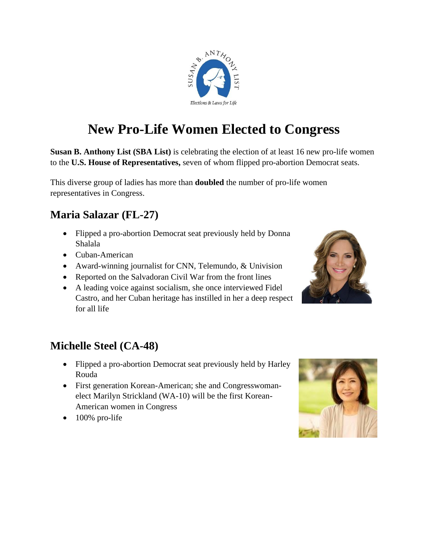

# **New Pro-Life Women Elected to Congress**

**Susan B. Anthony List (SBA List)** is celebrating the election of at least 16 new pro-life women to the **U.S. House of Representatives,** seven of whom flipped pro-abortion Democrat seats.

This diverse group of ladies has more than **doubled** the number of pro-life women representatives in Congress.

#### **Maria Salazar (FL-27)**

- Flipped a pro-abortion Democrat seat previously held by Donna Shalala
- Cuban-American
- Award-winning journalist for CNN, Telemundo, & Univision
- Reported on the Salvadoran Civil War from the front lines
- A leading voice against socialism, she once interviewed Fidel Castro, and her Cuban heritage has instilled in her a deep respect for all life



## **Michelle Steel (CA-48)**

- Flipped a pro-abortion Democrat seat previously held by Harley Rouda
- First generation Korean-American; she and Congresswomanelect Marilyn Strickland (WA-10) will be the first Korean-American women in Congress
- 100% pro-life

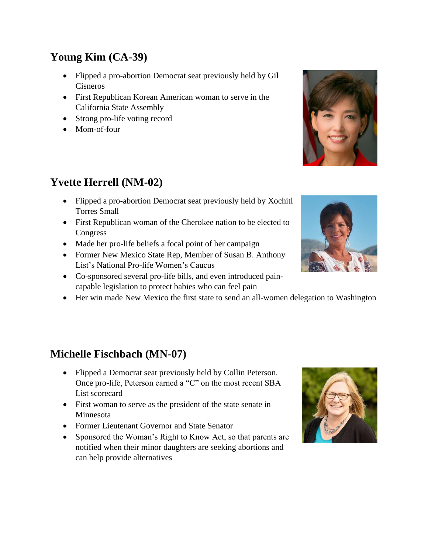## **Young Kim (CA-39)**

- Flipped a pro-abortion Democrat seat previously held by Gil Cisneros
- First Republican Korean American woman to serve in the California State Assembly
- Strong pro-life voting record
- Mom-of-four

## **Yvette Herrell (NM-02)**

- Flipped a pro-abortion Democrat seat previously held by Xochitl Torres Small
- First Republican woman of the Cherokee nation to be elected to Congress
- Made her pro-life beliefs a focal point of her campaign
- Former New Mexico State Rep, Member of Susan B. Anthony List's National Pro-life Women's Caucus
- Co-sponsored several pro-life bills, and even introduced paincapable legislation to protect babies who can feel pain
- Her win made New Mexico the first state to send an all-women delegation to Washington

# **Michelle Fischbach (MN-07)**

- Flipped a Democrat seat previously held by Collin Peterson. Once pro-life, Peterson earned a "C" on the most recent SBA List scorecard
- First woman to serve as the president of the state senate in Minnesota
- Former Lieutenant Governor and State Senator
- Sponsored the Woman's Right to Know Act, so that parents are notified when their minor daughters are seeking abortions and can help provide alternatives





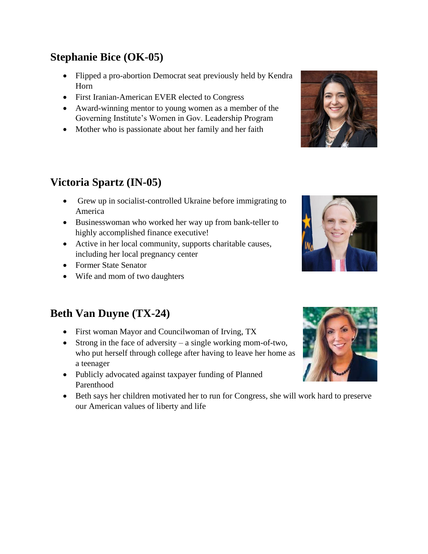## **Stephanie Bice (OK-05)**

- Flipped a pro-abortion Democrat seat previously held by Kendra Horn
- First Iranian-American EVER elected to Congress
- Award-winning mentor to young women as a member of the Governing Institute's Women in Gov. Leadership Program
- Mother who is passionate about her family and her faith

## **Victoria Spartz (IN-05)**

- Grew up in socialist-controlled Ukraine before immigrating to America
- Businesswoman who worked her way up from bank-teller to highly accomplished finance executive!
- Active in her local community, supports charitable causes, including her local pregnancy center
- Former State Senator
- Wife and mom of two daughters

#### **Beth Van Duyne (TX-24)**

- First woman Mayor and Councilwoman of Irving, TX
- Strong in the face of adversity a single working mom-of-two, who put herself through college after having to leave her home as a teenager
- Publicly advocated against taxpayer funding of Planned Parenthood
- Beth says her children motivated her to run for Congress, she will work hard to preserve our American values of liberty and life







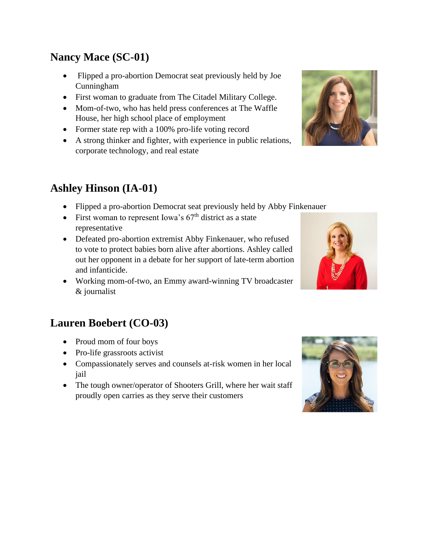#### **Nancy Mace (SC-01)**

- Flipped a pro-abortion Democrat seat previously held by Joe Cunningham
- First woman to graduate from The Citadel Military College.
- Mom-of-two, who has held press conferences at The Waffle House, her high school place of employment
- Former state rep with a 100% pro-life voting record
- A strong thinker and fighter, with experience in public relations, corporate technology, and real estate

## **Ashley Hinson (IA-01)**

- Flipped a pro-abortion Democrat seat previously held by Abby Finkenauer
- First woman to represent Iowa's  $67<sup>th</sup>$  district as a state representative
- Defeated pro-abortion extremist Abby Finkenauer, who refused to vote to protect babies born alive after abortions. Ashley called out her opponent in a debate for her support of late-term abortion and infanticide.
- Working mom-of-two, an Emmy award-winning TV broadcaster & journalist

#### **Lauren Boebert (CO-03)**

- Proud mom of four boys
- Pro-life grassroots activist
- Compassionately serves and counsels at-risk women in her local jail
- The tough owner/operator of Shooters Grill, where her wait staff proudly open carries as they serve their customers







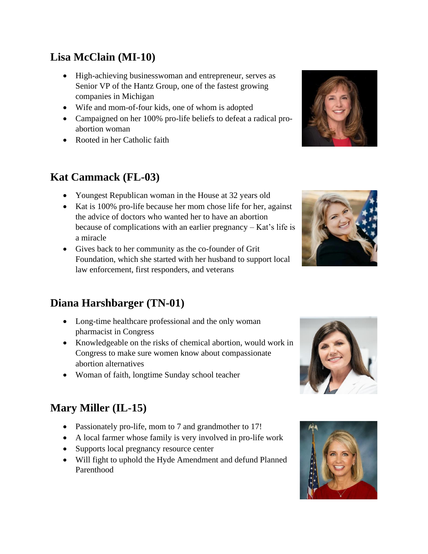## **Lisa McClain (MI-10)**

- High-achieving businesswoman and entrepreneur, serves as Senior VP of the Hantz Group, one of the fastest growing companies in Michigan
- Wife and mom-of-four kids, one of whom is adopted
- Campaigned on her 100% pro-life beliefs to defeat a radical proabortion woman
- Rooted in her Catholic faith

#### **Kat Cammack (FL-03)**

- Youngest Republican woman in the House at 32 years old
- Kat is 100% pro-life because her mom chose life for her, against the advice of doctors who wanted her to have an abortion because of complications with an earlier pregnancy – Kat's life is a miracle
- Gives back to her community as the co-founder of Grit Foundation, which she started with her husband to support local law enforcement, first responders, and veterans

## **Diana Harshbarger (TN-01)**

- Long-time healthcare professional and the only woman pharmacist in Congress
- Knowledgeable on the risks of chemical abortion, would work in Congress to make sure women know about compassionate abortion alternatives
- Woman of faith, longtime Sunday school teacher

## **Mary Miller (IL-15)**

- Passionately pro-life, mom to 7 and grandmother to 17!
- A local farmer whose family is very involved in pro-life work
- Supports local pregnancy resource center
- Will fight to uphold the Hyde Amendment and defund Planned Parenthood